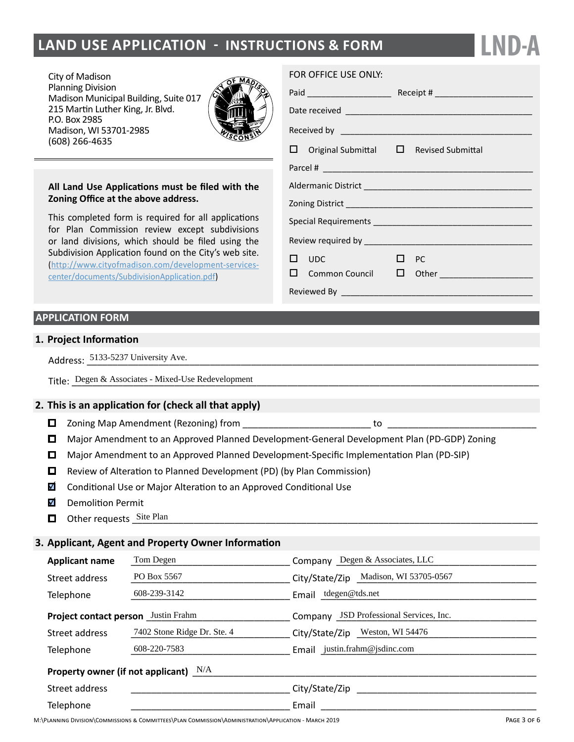# **LAND USE APPLICATION - INSTRUCTIONS & FORM**

City of Madison Planning Division Madison Municipal Building, Suite 017 215 Martin Luther King, Jr. Blvd. P.O. Box 2985 Madison, WI 53701-2985 (608) 266-4635



### **All Land Use Applications must be filed with the Zoning Office at the above address.**

This completed form is required for all applications for Plan Commission review except subdivisions or land divisions, which should be filed using the Subdivision Application found on the City's web site. ([http://www.cityofmadison.com/development-services](http://www.cityofmadison.com/development-services-center/documents/SubdivisionApplication.pdf)[center/documents/SubdivisionApplication.pdf\)](http://www.cityofmadison.com/development-services-center/documents/SubdivisionApplication.pdf)

# **APPLICATION FORM**

## **1. Project Information**

Address: 5133-5237 University Ave.

Address: <u>5133-5237 University Ave.</u><br>Title: <u>Degen & Associates - Mixed-Use Redevelopment</u>

## **2. This is an application for (check all that apply)**

- $\Box$  Zoning Map Amendment (Rezoning) from  $\Box$  zoning  $\Box$  to
- Major Amendment to an Approved Planned Development-General Development Plan (PD-GDP) Zoning
- Major Amendment to an Approved Planned Development-Specific Implementation Plan (PD-SIP)
- $\Box$  Review of Alteration to Planned Development (PD) (by Plan Commission)
- $\overline{\mathbf{v}}$ Conditional Use or Major Alteration to an Approved Conditional Use
- M Demolition Permit
- Other requests <u>Site Plan and the contract of the state of the state of the state of the state of the state of the state of the state of the state of the state of the state of the state of the state of the state of the sta</u>

#### **3. Applicant, Agent and Property Owner Information**

| Tom Degen<br><b>Applicant name</b>         |                             | Company Degen & Associates, LLC         |  |  |  |  |  |
|--------------------------------------------|-----------------------------|-----------------------------------------|--|--|--|--|--|
| Street address                             | PO Box 5567                 | City/State/Zip Madison, WI 53705-0567   |  |  |  |  |  |
| Telephone                                  | 608-239-3142                | Email tdegen@tds.net                    |  |  |  |  |  |
| <b>Project contact person</b> Justin Frahm |                             | Company JSD Professional Services, Inc. |  |  |  |  |  |
| Street address                             | 7402 Stone Ridge Dr. Ste. 4 | City/State/Zip Weston, WI 54476         |  |  |  |  |  |
| Telephone                                  | 608-220-7583                | Email justin.frahm@jsdinc.com           |  |  |  |  |  |
| Property owner (if not applicant) $N/A$    |                             |                                         |  |  |  |  |  |
| Street address                             |                             | City/State/Zip                          |  |  |  |  |  |
| Telephone                                  |                             | Email                                   |  |  |  |  |  |

### FOR OFFICE USE ONLY:

|  | $\Box$ Original Submittal $\Box$ Revised Submittal |           |                                                            |  |  |  |
|--|----------------------------------------------------|-----------|------------------------------------------------------------|--|--|--|
|  |                                                    |           |                                                            |  |  |  |
|  |                                                    |           |                                                            |  |  |  |
|  |                                                    |           |                                                            |  |  |  |
|  |                                                    |           |                                                            |  |  |  |
|  |                                                    |           |                                                            |  |  |  |
|  | $\square$ UDC                                      | $\Box$ PC |                                                            |  |  |  |
|  |                                                    |           | $\square$ Common Council $\square$ Other _________________ |  |  |  |
|  |                                                    |           |                                                            |  |  |  |

**LND-A**